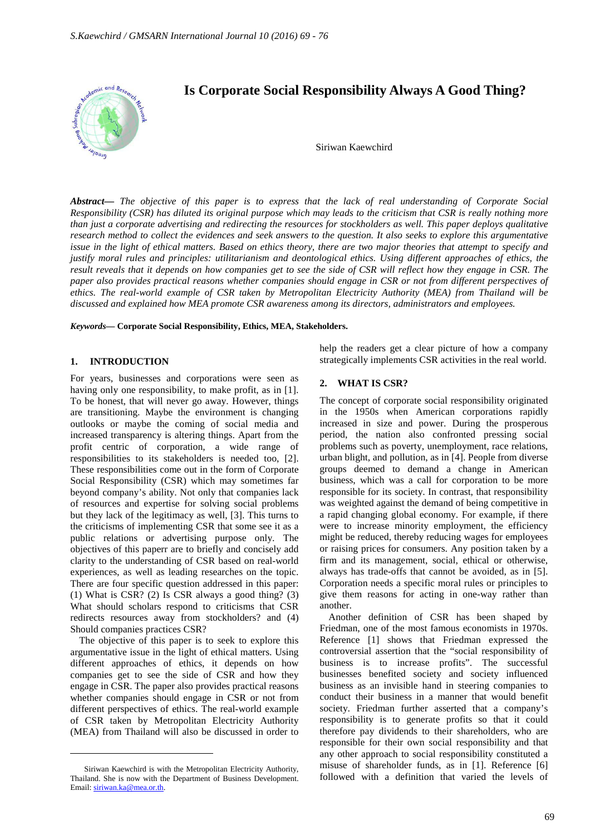

*Abstract***—** *The objective of this paper is to express that the lack of real understanding of Corporate Social Responsibility (CSR) has diluted its original purpose which may leads to the criticism that CSR is really nothing more than just a corporate advertising and redirecting the resources for stockholders as well. This paper deploys qualitative research method to collect the evidences and seek answers to the question. It also seeks to explore this argumentative issue in the light of ethical matters. Based on ethics theory, there are two major theories that attempt to specify and justify moral rules and principles: utilitarianism and deontological ethics. Using different approaches of ethics, the result reveals that it depends on how companies get to see the side of CSR will reflect how they engage in CSR. The paper also provides practical reasons whether companies should engage in CSR or not from different perspectives of ethics. The real-world example of CSR taken by Metropolitan Electricity Authority (MEA) from Thailand will be discussed and explained how MEA promote CSR awareness among its directors, administrators and employees.*

*Keywords***— Corporate Social Responsibility, Ethics, MEA, Stakeholders.**

#### **1. INTRODUCTION**

For years, businesses and corporations were seen as having only one responsibility, to make profit, as in [1]. To be honest, that will never go away. However, things are transitioning. Maybe the environment is changing outlooks or maybe the coming of social media and increased transparency is altering things. Apart from the profit centric of corporation, a wide range of responsibilities to its stakeholders is needed too, [2]. These responsibilities come out in the form of Corporate Social Responsibility (CSR) which may sometimes far beyond company's ability. Not only that companies lack of resources and expertise for solving social problems but they lack of the legitimacy as well, [3]. This turns to the criticisms of implementing CSR that some see it as a public relations or advertising purpose only. The objectives of this paperr are to briefly and concisely add clarity to the understanding of CSR based on real-world experiences, as well as leading researches on the topic. There are four specific question addressed in this paper: (1) What is CSR? (2) Is CSR always a good thing? (3) What should scholars respond to criticisms that CSR redirects resources away from stockholders? and (4) Should companies practices CSR?

The objective of this paper is to seek to explore this argumentative issue in the light of ethical matters. Using different approaches of ethics, it depends on how companies get to see the side of CSR and how they engage in CSR. The paper also provides practical reasons whether companies should engage in CSR or not from different perspectives of ethics. The real-world example of CSR taken by Metropolitan Electricity Authority (MEA) from Thailand will also be discussed in order to

 $\overline{a}$ 

help the readers get a clear picture of how a company strategically implements CSR activities in the real world.

### **2. WHAT IS CSR?**

The concept of corporate social responsibility originated in the 1950s when American corporations rapidly increased in size and power. During the prosperous period, the nation also confronted pressing social problems such as poverty, unemployment, race relations, urban blight, and pollution, as in [4]. People from diverse groups deemed to demand a change in American business, which was a call for corporation to be more responsible for its society. In contrast, that responsibility was weighted against the demand of being competitive in a rapid changing global economy. For example, if there were to increase minority employment, the efficiency might be reduced, thereby reducing wages for employees or raising prices for consumers. Any position taken by a firm and its management, social, ethical or otherwise, always has trade-offs that cannot be avoided, as in [5]. Corporation needs a specific moral rules or principles to give them reasons for acting in one-way rather than another.

Another definition of CSR has been shaped by Friedman, one of the most famous economists in 1970s. Reference [1] shows that Friedman expressed the controversial assertion that the "social responsibility of business is to increase profits". The successful businesses benefited society and society influenced business as an invisible hand in steering companies to conduct their business in a manner that would benefit society. Friedman further asserted that a company's responsibility is to generate profits so that it could therefore pay dividends to their shareholders, who are responsible for their own social responsibility and that any other approach to social responsibility constituted a misuse of shareholder funds, as in [1]. Reference [6] followed with a definition that varied the levels of

Siriwan Kaewchird is with the Metropolitan Electricity Authority, Thailand. She is now with the Department of Business Development. Email: siriwan.ka@mea.or.th.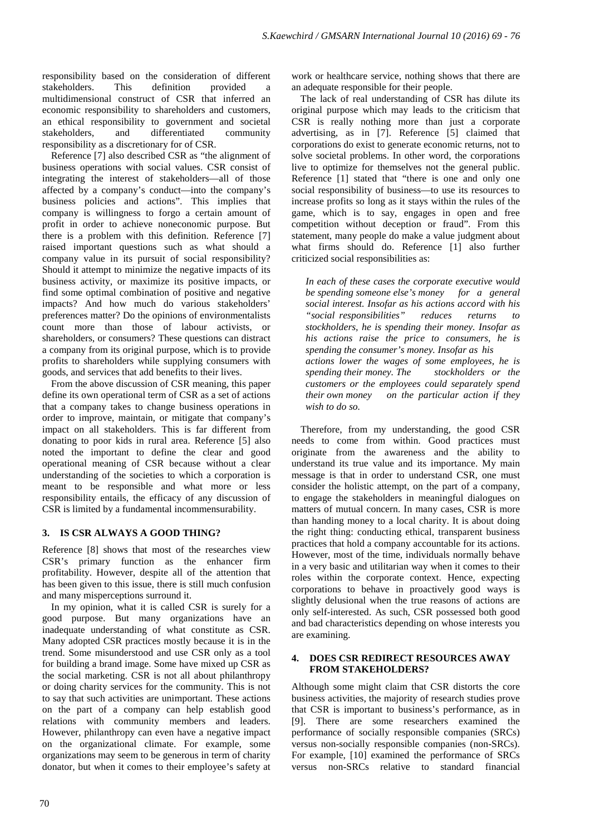responsibility based on the consideration of different stakeholders. This definition provided multidimensional construct of CSR that inferred an economic responsibility to shareholders and customers, an ethical responsibility to government and societal stakeholders, and differentiated community responsibility as a discretionary for of CSR.

Reference [7] also described CSR as "the alignment of business operations with social values. CSR consist of integrating the interest of stakeholders—all of those affected by a company's conduct—into the company's business policies and actions". This implies that company is willingness to forgo a certain amount of profit in order to achieve noneconomic purpose. But there is a problem with this definition. Reference [7] raised important questions such as what should a company value in its pursuit of social responsibility? Should it attempt to minimize the negative impacts of its business activity, or maximize its positive impacts, or find some optimal combination of positive and negative impacts? And how much do various stakeholders' preferences matter? Do the opinions of environmentalists count more than those of labour activists, or shareholders, or consumers? These questions can distract a company from its original purpose, which is to provide profits to shareholders while supplying consumers with goods, and services that add benefits to their lives.

From the above discussion of CSR meaning, this paper define its own operational term of CSR as a set of actions that a company takes to change business operations in order to improve, maintain, or mitigate that company's impact on all stakeholders. This is far different from donating to poor kids in rural area. Reference [5] also noted the important to define the clear and good operational meaning of CSR because without a clear understanding of the societies to which a corporation is meant to be responsible and what more or less responsibility entails, the efficacy of any discussion of CSR is limited by a fundamental incommensurability.

### **3. IS CSR ALWAYS A GOOD THING?**

Reference [8] shows that most of the researches view CSR's primary function as the enhancer firm profitability. However, despite all of the attention that has been given to this issue, there is still much confusion and many misperceptions surround it.

In my opinion, what it is called CSR is surely for a good purpose. But many organizations have an inadequate understanding of what constitute as CSR. Many adopted CSR practices mostly because it is in the trend. Some misunderstood and use CSR only as a tool for building a brand image. Some have mixed up CSR as the social marketing. CSR is not all about philanthropy or doing charity services for the community. This is not to say that such activities are unimportant. These actions on the part of a company can help establish good relations with community members and leaders. However, philanthropy can even have a negative impact on the organizational climate. For example, some organizations may seem to be generous in term of charity donator, but when it comes to their employee's safety at

work or healthcare service, nothing shows that there are an adequate responsible for their people.

The lack of real understanding of CSR has dilute its original purpose which may leads to the criticism that CSR is really nothing more than just a corporate advertising, as in [7]. Reference [5] claimed that corporations do exist to generate economic returns, not to solve societal problems. In other word, the corporations live to optimize for themselves not the general public. Reference [1] stated that "there is one and only one social responsibility of business—to use its resources to increase profits so long as it stays within the rules of the game, which is to say, engages in open and free competition without deception or fraud". From this statement, many people do make a value judgment about what firms should do. Reference [1] also further criticized social responsibilities as:

*In each of these cases the corporate executive would be spending someone else's money for a general social interest. Insofar as his actions accord with his "social responsibilities" reduces returns to stockholders, he is spending their money. Insofar as his actions raise the price to consumers, he is spending the consumer's money. Insofar as his actions lower the wages of some employees, he is spending their money. The stockholders or the customers or the employees could separately spend their own money on the particular action if they wish to do so.*

Therefore, from my understanding, the good CSR needs to come from within. Good practices must originate from the awareness and the ability to understand its true value and its importance. My main message is that in order to understand CSR, one must consider the holistic attempt, on the part of a company, to engage the stakeholders in meaningful dialogues on matters of mutual concern. In many cases, CSR is more than handing money to a local charity. It is about doing the right thing: conducting ethical, transparent business practices that hold a company accountable for its actions. However, most of the time, individuals normally behave in a very basic and utilitarian way when it comes to their roles within the corporate context. Hence, expecting corporations to behave in proactively good ways is slightly delusional when the true reasons of actions are only self-interested. As such, CSR possessed both good and bad characteristics depending on whose interests you are examining.

# **4. DOES CSR REDIRECT RESOURCES AWAY FROM STAKEHOLDERS?**

Although some might claim that CSR distorts the core business activities, the majority of research studies prove that CSR is important to business's performance, as in [9]. There are some researchers examined the performance of socially responsible companies (SRCs) versus non-socially responsible companies (non-SRCs). For example, [10] examined the performance of SRCs versus non-SRCs relative to standard financial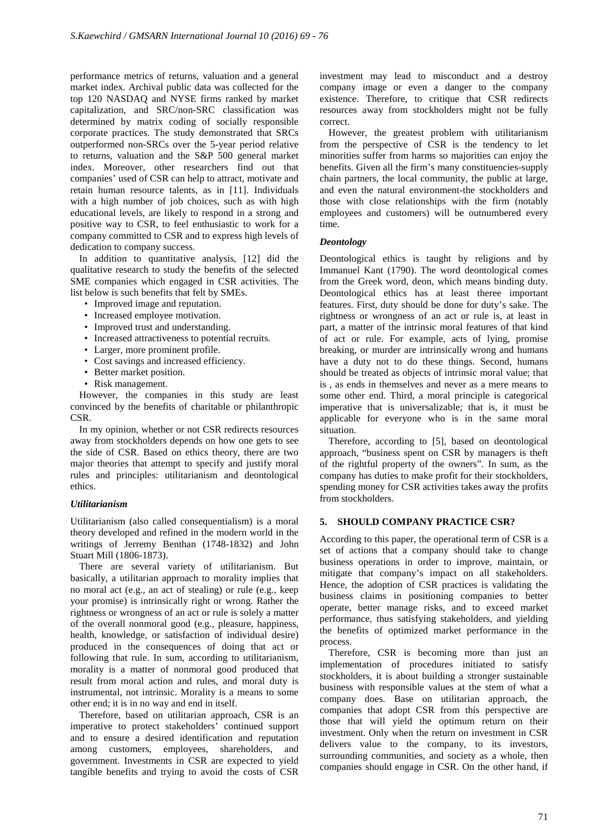performance metrics of returns, valuation and a general market index. Archival public data was collected for the top 120 NASDAQ and NYSE firms ranked by market capitalization, and SRC/non-SRC classification was determined by matrix coding of socially responsible corporate practices. The study demonstrated that SRCs outperformed non-SRCs over the 5-year period relative to returns, valuation and the S&P 500 general market index. Moreover, other researchers find out that companies' used of CSR can help to attract, motivate and retain human resource talents, as in [11]. Individuals with a high number of job choices, such as with high educational levels, are likely to respond in a strong and positive way to CSR, to feel enthusiastic to work for a company committed to CSR and to express high levels of dedication to company success.

In addition to quantitative analysis, [12] did the qualitative research to study the benefits of the selected SME companies which engaged in CSR activities. The list below is such benefits that felt by SMEs.

- Improved image and reputation.
- Increased employee motivation.
- Improved trust and understanding.
- Increased attractiveness to potential recruits.
- Larger, more prominent profile.
- Cost savings and increased efficiency.
- Better market position.
- Risk management.

However, the companies in this study are least convinced by the benefits of charitable or philanthropic CSR.

In my opinion, whether or not CSR redirects resources away from stockholders depends on how one gets to see the side of CSR. Based on ethics theory, there are two major theories that attempt to specify and justify moral rules and principles: utilitarianism and deontological ethics.

### *Utilitarianism*

Utilitarianism (also called consequentialism) is a moral theory developed and refined in the modern world in the writings of Jerremy Benthan (1748-1832) and John Stuart Mill (1806-1873).

There are several variety of utilitarianism. But basically, a utilitarian approach to morality implies that no moral act (e.g., an act of stealing) or rule (e.g., keep your promise) is intrinsically right or wrong. Rather the rightness or wrongness of an act or rule is solely a matter of the overall nonmoral good (e.g., pleasure, happiness, health, knowledge, or satisfaction of individual desire) produced in the consequences of doing that act or following that rule. In sum, according to utilitarianism, morality is a matter of nonmoral good produced that result from moral action and rules, and moral duty is instrumental, not intrinsic. Morality is a means to some other end; it is in no way and end in itself.

Therefore, based on utilitarian approach, CSR is an imperative to protect stakeholders' continued support and to ensure a desired identification and reputation among customers, employees, shareholders, and government. Investments in CSR are expected to yield tangible benefits and trying to avoid the costs of CSR

investment may lead to misconduct and a destroy company image or even a danger to the company existence. Therefore, to critique that CSR redirects resources away from stockholders might not be fully correct.

However, the greatest problem with utilitarianism from the perspective of CSR is the tendency to let minorities suffer from harms so majorities can enjoy the benefits. Given all the firm's many constituencies-supply chain partners, the local community, the public at large, and even the natural environment-the stockholders and those with close relationships with the firm (notably employees and customers) will be outnumbered every time.

### *Deontology*

Deontological ethics is taught by religions and by Immanuel Kant (1790). The word deontological comes from the Greek word, deon, which means binding duty. Deontological ethics has at least theree important features. First, duty should be done for duty's sake. The rightness or wrongness of an act or rule is, at least in part, a matter of the intrinsic moral features of that kind of act or rule. For example, acts of lying, promise breaking, or murder are intrinsically wrong and humans have a duty not to do these things. Second, humans should be treated as objects of intrinsic moral value; that is , as ends in themselves and never as a mere means to some other end. Third, a moral principle is categorical imperative that is universalizable; that is, it must be applicable for everyone who is in the same moral situation.

Therefore, according to [5], based on deontological approach, "business spent on CSR by managers is theft of the rightful property of the owners". In sum, as the company has duties to make profit for their stockholders, spending money for CSR activities takes away the profits from stockholders.

### **5. SHOULD COMPANY PRACTICE CSR?**

According to this paper, the operational term of CSR is a set of actions that a company should take to change business operations in order to improve, maintain, or mitigate that company's impact on all stakeholders. Hence, the adoption of CSR practices is validating the business claims in positioning companies to better operate, better manage risks, and to exceed market performance, thus satisfying stakeholders, and yielding the benefits of optimized market performance in the process.

Therefore, CSR is becoming more than just an implementation of procedures initiated to satisfy stockholders, it is about building a stronger sustainable business with responsible values at the stem of what a company does. Base on utilitarian approach, the companies that adopt CSR from this perspective are those that will yield the optimum return on their investment. Only when the return on investment in CSR delivers value to the company, to its investors, surrounding communities, and society as a whole, then companies should engage in CSR. On the other hand, if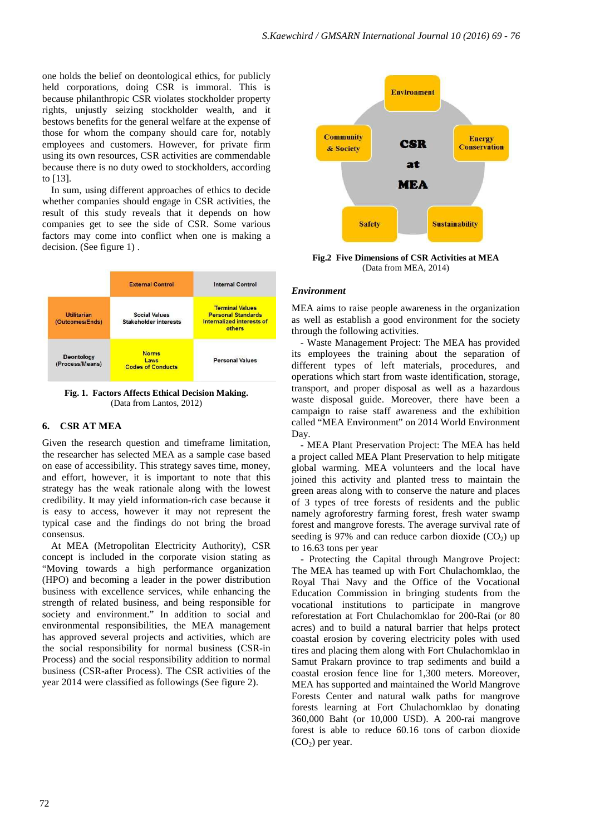one holds the belief on deontological ethics, for publicly held corporations, doing CSR is immoral. This is because philanthropic CSR violates stockholder property rights, unjustly seizing stockholder wealth, and it bestows benefits for the general welfare at the expense of those for whom the company should care for, notably employees and customers. However, for private firm using its own resources, CSR activities are commendable because there is no duty owed to stockholders, according to [13].

In sum, using different approaches of ethics to decide whether companies should engage in CSR activities, the result of this study reveals that it depends on how companies get to see the side of CSR. Some various factors may come into conflict when one is making a decision. (See figure 1) .



**Fig. 1. Factors Affects Ethical Decision Making.**  (Data from Lantos, 2012)

# **6. CSR AT MEA**

Given the research question and timeframe limitation, the researcher has selected MEA as a sample case based on ease of accessibility. This strategy saves time, money, and effort, however, it is important to note that this strategy has the weak rationale along with the lowest credibility. It may yield information-rich case because it is easy to access, however it may not represent the typical case and the findings do not bring the broad consensus.

At MEA (Metropolitan Electricity Authority), CSR concept is included in the corporate vision stating as "Moving towards a high performance organization (HPO) and becoming a leader in the power distribution business with excellence services, while enhancing the strength of related business, and being responsible for society and environment." In addition to social and environmental responsibilities, the MEA management has approved several projects and activities, which are the social responsibility for normal business (CSR-in Process) and the social responsibility addition to normal business (CSR-after Process). The CSR activities of the year 2014 were classified as followings (See figure 2).



**Fig.2 Five Dimensions of CSR Activities at MEA**  (Data from MEA, 2014)

#### *Environment*

MEA aims to raise people awareness in the organization as well as establish a good environment for the society through the following activities.

- Waste Management Project: The MEA has provided its employees the training about the separation of different types of left materials, procedures, and operations which start from waste identification, storage, transport, and proper disposal as well as a hazardous waste disposal guide. Moreover, there have been a campaign to raise staff awareness and the exhibition called "MEA Environment" on 2014 World Environment Day.

- MEA Plant Preservation Project: The MEA has held a project called MEA Plant Preservation to help mitigate global warming. MEA volunteers and the local have joined this activity and planted tress to maintain the green areas along with to conserve the nature and places of 3 types of tree forests of residents and the public namely agroforestry farming forest, fresh water swamp forest and mangrove forests. The average survival rate of seeding is 97% and can reduce carbon dioxide  $(CO<sub>2</sub>)$  up to 16.63 tons per year

- Protecting the Capital through Mangrove Project: The MEA has teamed up with Fort Chulachomklao, the Royal Thai Navy and the Office of the Vocational Education Commission in bringing students from the vocational institutions to participate in mangrove reforestation at Fort Chulachomklao for 200-Rai (or 80 acres) and to build a natural barrier that helps protect coastal erosion by covering electricity poles with used tires and placing them along with Fort Chulachomklao in Samut Prakarn province to trap sediments and build a coastal erosion fence line for 1,300 meters. Moreover, MEA has supported and maintained the World Mangrove Forests Center and natural walk paths for mangrove forests learning at Fort Chulachomklao by donating 360,000 Baht (or 10,000 USD). A 200-rai mangrove forest is able to reduce 60.16 tons of carbon dioxide  $(CO<sub>2</sub>)$  per year.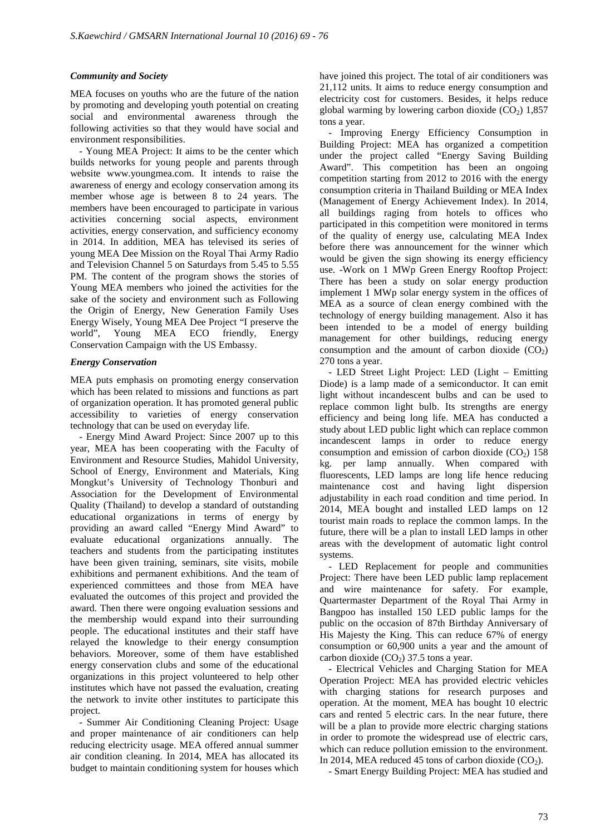## *Community and Society*

MEA focuses on youths who are the future of the nation by promoting and developing youth potential on creating social and environmental awareness through the following activities so that they would have social and environment responsibilities.

- Young MEA Project: It aims to be the center which builds networks for young people and parents through website www.youngmea.com. It intends to raise the awareness of energy and ecology conservation among its member whose age is between 8 to 24 years. The members have been encouraged to participate in various activities concerning social aspects, environment activities, energy conservation, and sufficiency economy in 2014. In addition, MEA has televised its series of young MEA Dee Mission on the Royal Thai Army Radio and Television Channel 5 on Saturdays from 5.45 to 5.55 PM. The content of the program shows the stories of Young MEA members who joined the activities for the sake of the society and environment such as Following the Origin of Energy, New Generation Family Uses Energy Wisely, Young MEA Dee Project "I preserve the world", Young MEA ECO friendly, Energy Conservation Campaign with the US Embassy.

# *Energy Conservation*

MEA puts emphasis on promoting energy conservation which has been related to missions and functions as part of organization operation. It has promoted general public accessibility to varieties of energy conservation technology that can be used on everyday life.

- Energy Mind Award Project: Since 2007 up to this year, MEA has been cooperating with the Faculty of Environment and Resource Studies, Mahidol University, School of Energy, Environment and Materials, King Mongkut's University of Technology Thonburi and Association for the Development of Environmental Quality (Thailand) to develop a standard of outstanding educational organizations in terms of energy by providing an award called "Energy Mind Award" to evaluate educational organizations annually. The teachers and students from the participating institutes have been given training, seminars, site visits, mobile exhibitions and permanent exhibitions. And the team of experienced committees and those from MEA have evaluated the outcomes of this project and provided the award. Then there were ongoing evaluation sessions and the membership would expand into their surrounding people. The educational institutes and their staff have relayed the knowledge to their energy consumption behaviors. Moreover, some of them have established energy conservation clubs and some of the educational organizations in this project volunteered to help other institutes which have not passed the evaluation, creating the network to invite other institutes to participate this project.

- Summer Air Conditioning Cleaning Project: Usage and proper maintenance of air conditioners can help reducing electricity usage. MEA offered annual summer air condition cleaning. In 2014, MEA has allocated its budget to maintain conditioning system for houses which have joined this project. The total of air conditioners was 21,112 units. It aims to reduce energy consumption and electricity cost for customers. Besides, it helps reduce global warming by lowering carbon dioxide  $(CO<sub>2</sub>)$  1,857 tons a year.

- Improving Energy Efficiency Consumption in Building Project: MEA has organized a competition under the project called "Energy Saving Building Award". This competition has been an ongoing competition starting from 2012 to 2016 with the energy consumption criteria in Thailand Building or MEA Index (Management of Energy Achievement Index). In 2014, all buildings raging from hotels to offices who participated in this competition were monitored in terms of the quality of energy use, calculating MEA Index before there was announcement for the winner which would be given the sign showing its energy efficiency use. -Work on 1 MWp Green Energy Rooftop Project: There has been a study on solar energy production implement 1 MWp solar energy system in the offices of MEA as a source of clean energy combined with the technology of energy building management. Also it has been intended to be a model of energy building management for other buildings, reducing energy consumption and the amount of carbon dioxide  $(CO_2)$ 270 tons a year.

- LED Street Light Project: LED (Light – Emitting Diode) is a lamp made of a semiconductor. It can emit light without incandescent bulbs and can be used to replace common light bulb. Its strengths are energy efficiency and being long life. MEA has conducted a study about LED public light which can replace common incandescent lamps in order to reduce energy consumption and emission of carbon dioxide  $(CO<sub>2</sub>)$  158 kg. per lamp annually. When compared with fluorescents, LED lamps are long life hence reducing maintenance cost and having light dispersion adjustability in each road condition and time period. In 2014, MEA bought and installed LED lamps on 12 tourist main roads to replace the common lamps. In the future, there will be a plan to install LED lamps in other areas with the development of automatic light control systems.

- LED Replacement for people and communities Project: There have been LED public lamp replacement and wire maintenance for safety. For example, Quartermaster Department of the Royal Thai Army in Bangpoo has installed 150 LED public lamps for the public on the occasion of 87th Birthday Anniversary of His Majesty the King. This can reduce 67% of energy consumption or 60,900 units a year and the amount of carbon dioxide  $(CO<sub>2</sub>)$  37.5 tons a year.

- Electrical Vehicles and Charging Station for MEA Operation Project: MEA has provided electric vehicles with charging stations for research purposes and operation. At the moment, MEA has bought 10 electric cars and rented 5 electric cars. In the near future, there will be a plan to provide more electric charging stations in order to promote the widespread use of electric cars, which can reduce pollution emission to the environment. In 2014, MEA reduced 45 tons of carbon dioxide  $(CO<sub>2</sub>)$ .

- Smart Energy Building Project: MEA has studied and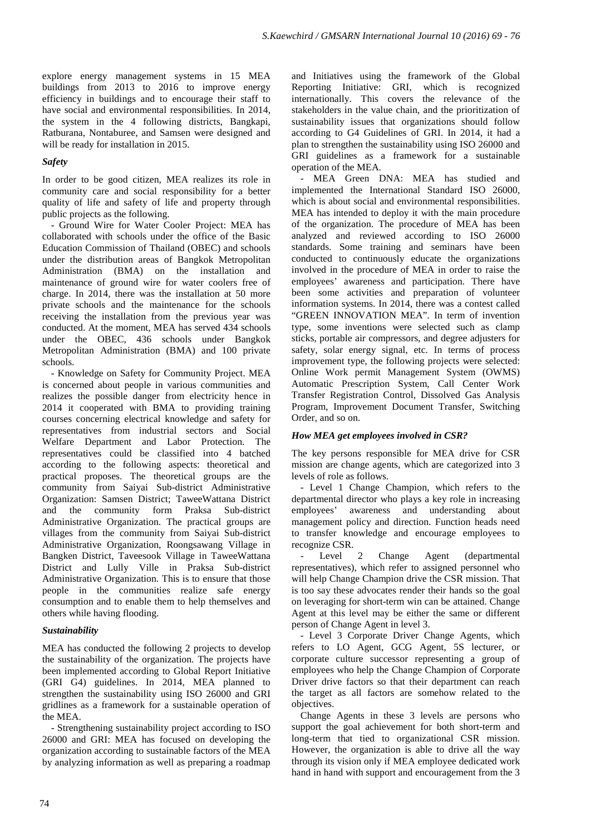explore energy management systems in 15 MEA buildings from 2013 to 2016 to improve energy efficiency in buildings and to encourage their staff to have social and environmental responsibilities. In 2014, the system in the 4 following districts, Bangkapi, Ratburana, Nontaburee, and Samsen were designed and will be ready for installation in 2015.

# *Safety*

In order to be good citizen, MEA realizes its role in community care and social responsibility for a better quality of life and safety of life and property through public projects as the following.

- Ground Wire for Water Cooler Project: MEA has collaborated with schools under the office of the Basic Education Commission of Thailand (OBEC) and schools under the distribution areas of Bangkok Metropolitan Administration (BMA) on the installation and maintenance of ground wire for water coolers free of charge. In 2014, there was the installation at 50 more private schools and the maintenance for the schools receiving the installation from the previous year was conducted. At the moment, MEA has served 434 schools under the OBEC, 436 schools under Bangkok Metropolitan Administration (BMA) and 100 private schools.

- Knowledge on Safety for Community Project. MEA is concerned about people in various communities and realizes the possible danger from electricity hence in 2014 it cooperated with BMA to providing training courses concerning electrical knowledge and safety for representatives from industrial sectors and Social Welfare Department and Labor Protection. The representatives could be classified into 4 batched according to the following aspects: theoretical and practical proposes. The theoretical groups are the community from Saiyai Sub-district Administrative Organization: Samsen District; TaweeWattana District and the community form Praksa Sub-district Administrative Organization. The practical groups are villages from the community from Saiyai Sub-district Administrative Organization, Roongsawang Village in Bangken District, Taveesook Village in TaweeWattana District and Lully Ville in Praksa Sub-district Administrative Organization. This is to ensure that those people in the communities realize safe energy consumption and to enable them to help themselves and others while having flooding.

### *Sustainability*

MEA has conducted the following 2 projects to develop the sustainability of the organization. The projects have been implemented according to Global Report Initiative (GRI G4) guidelines. In 2014, MEA planned to strengthen the sustainability using ISO 26000 and GRI gridlines as a framework for a sustainable operation of the MEA.

- Strengthening sustainability project according to ISO 26000 and GRI: MEA has focused on developing the organization according to sustainable factors of the MEA by analyzing information as well as preparing a roadmap

and Initiatives using the framework of the Global Reporting Initiative: GRI, which is recognized internationally. This covers the relevance of the stakeholders in the value chain, and the prioritization of sustainability issues that organizations should follow according to G4 Guidelines of GRI. In 2014, it had a plan to strengthen the sustainability using ISO 26000 and GRI guidelines as a framework for a sustainable operation of the MEA.

- MEA Green DNA: MEA has studied and implemented the International Standard ISO 26000, which is about social and environmental responsibilities. MEA has intended to deploy it with the main procedure of the organization. The procedure of MEA has been analyzed and reviewed according to ISO 26000 standards. Some training and seminars have been conducted to continuously educate the organizations involved in the procedure of MEA in order to raise the employees' awareness and participation. There have been some activities and preparation of volunteer information systems. In 2014, there was a contest called "GREEN INNOVATION MEA". In term of invention type, some inventions were selected such as clamp sticks, portable air compressors, and degree adjusters for safety, solar energy signal, etc. In terms of process improvement type, the following projects were selected: Online Work permit Management System (OWMS) Automatic Prescription System, Call Center Work Transfer Registration Control, Dissolved Gas Analysis Program, Improvement Document Transfer, Switching Order, and so on.

### *How MEA get employees involved in CSR?*

The key persons responsible for MEA drive for CSR mission are change agents, which are categorized into 3 levels of role as follows.

- Level 1 Change Champion, which refers to the departmental director who plays a key role in increasing employees' awareness and understanding about management policy and direction. Function heads need to transfer knowledge and encourage employees to recognize CSR.

Level 2 Change Agent (departmental representatives), which refer to assigned personnel who will help Change Champion drive the CSR mission. That is too say these advocates render their hands so the goal on leveraging for short-term win can be attained. Change Agent at this level may be either the same or different person of Change Agent in level 3.

- Level 3 Corporate Driver Change Agents, which refers to LO Agent, GCG Agent, 5S lecturer, or corporate culture successor representing a group of employees who help the Change Champion of Corporate Driver drive factors so that their department can reach the target as all factors are somehow related to the objectives.

Change Agents in these 3 levels are persons who support the goal achievement for both short-term and long-term that tied to organizational CSR mission. However, the organization is able to drive all the way through its vision only if MEA employee dedicated work hand in hand with support and encouragement from the 3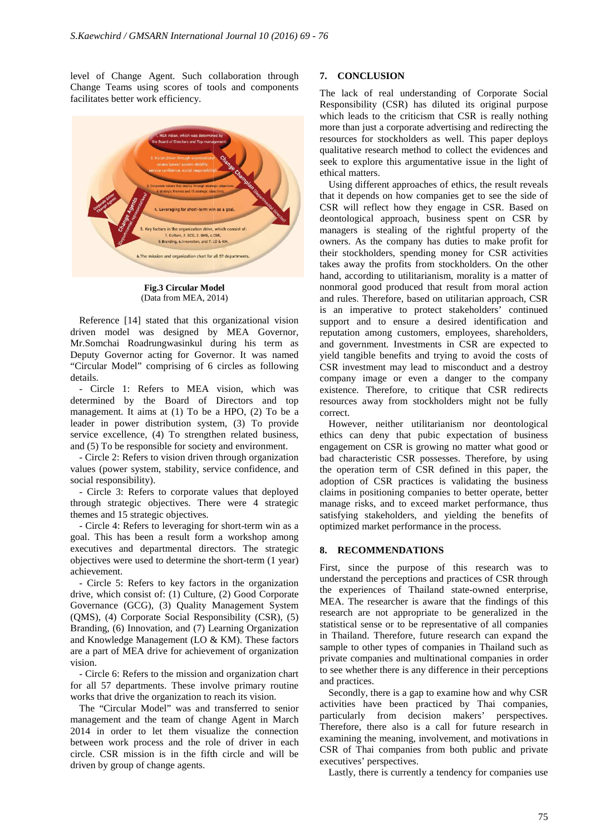level of Change Agent. Such collaboration through Change Teams using scores of tools and components facilitates better work efficiency.



**Fig.3 Circular Model Model**  (Data from MEA, 2014)

Reference [14] stated that this organizational vision driven model was designed by MEA Governor, Mr.Somchai Roadrungwasinkul during his term as Deputy Governor acting for Governor. It was named "Circular Model" comprising of 6 circles as following details.

- Circle 1: Refers to MEA vision, which was determined by the Board of Directors and top management. It aims at (1) To be a HPO, (2) To be a leader in power distribution system, (3) To provide service excellence, (4) To strengthen related business, and (5) To be responsible for society and environment. ircular Model" comprising of 6 circles as following<br>ails.<br>Circle 1: Refers to MEA vision, which was<br>ermined by the Board of Directors and top<br>nagement. It aims at (1) To be a HPO, (2) To be a<br>der in power distribution syst

- Circle 2: Refers to vision driven through organization values (power system, stability, service confidence, and social responsibility).

- Circle 3: Refers to corporate values that deployed through strategic objectives. There were 4 strategic themes and 15 strategic objectives.

- Circle 4: Refers to leveraging for short-term win as a goal. This has been a result form a workshop among executives and departmental directors. The strategic executives and departmental directors. The strategic<br>objectives were used to determine the short-term (1 year) achievement.

- Circle 5: Refers to key factors in the organization drive, which consist of: (1) Culture, (2) Good Corporate Governance (GCG), (3) Quality Management System (QMS), (4) Corporate Social Responsibility (CSR), (5) Branding, (6) Innovation, and (7) Learning Organization and Knowledge Management (LO & KM). These factors are a part of MEA drive for achievement of organization vision.

- Circle 6: Refers to the mission and organization chart for all 57 departments. These involve primary routine works that drive the organization to reach its vision.

The "Circular Model" was and transferred to senior management and the team of change Agent in March 2014 in order to let them visualize the connection between work process and the role of driver in each circle. CSR mission is in the fifth circle and will be driven by group of change agents.

The lack of real understanding of Corporate Social Responsibility (CSR) has diluted its original purpose which leads to the criticism that CSR is really nothing more than just a corporate advertising and redirecting the resources for stockholders as well. This paper deploys qualitative research method to collect the evidences and seek to explore this argumentative issue in the light of ethical matters. he lack of real understanding of Corporate Social<br>esponsibility (CSR) has diluted its original purpose<br>hich leads to the criticism that CSR is really nothing<br>ore than just a corporate advertising and redirecting the<br>source

Using different approaches of ethics, the result reveals that it depends on how companies get to see the side of CSR will reflect how they engage in CSR. Based on deontological approach, business spent on CSR by managers is stealing of the rightful property of the owners. As the company has duties to make profit for their stockholders, spending money for CSR activities takes away the profits from stockholders. On the other hand, according to utilitarianism, morality is a matter of nonmoral good produced that result from moral action and rules. Therefore, based on utilitarian approach, CSR is an imperative to protect stakeholders' continued support and to ensure a desired identification and reputation among customers, employees, shareholders, and government. Investments in CSR are expected to yield tangible benefits and trying to avoid the costs of CSR investment may lead to misconduct and a destroy company image or even a danger to the company existence. Therefore, to critique that CSR redirects resources away from stockholders might not be fully correct. and to ensure a desired identification and<br>n among customers, employees, shareholders,<br>ernment. Investments in CSR are expected to<br>gible benefits and trying to avoid the costs of<br>estment may lead to misconduct and a destro

However, neither utilitarianism nor deontological ethics can deny that pubic expectation of business engagement on CSR is growing no matter what good or bad characteristic CSR possesses. Therefore, by using the operation term of CSR defined in this paper, the adoption of CSR practices is validating the business claims in positioning companies to better operate, better manage risks, and to exceed market performance, thus satisfying stakeholders, and yielding the benefits of optimized market performance in the process.

#### **8. RECOMMENDATIONS**

First, since the purpose of this research was to Satisfying stakeholders, and yielding the benefits of<br>
optimized market performance in the process.<br> **8. RECOMMENDATIONS**<br>
First, since the purpose of this research was to<br>
understand the perceptions and practices of CSR t the experiences of Thailand state-owned enterprise, MEA. The researcher is aware that the findings of this research are not appropriate to be generalized in the statistical sense or to be representative of all companies in Thailand. Therefore, future research can expand the sample to other types of companies in Thailand such as private companies and multinational companies in order to see whether there is any difference in their perceptions and practices. d. Therefore, future research can expand the other types of companies in Thailand such as mpanies and multinational companies in order ther there is any difference in their perceptions exes.<br>y, there is a gap to examine ho

Secondly, there is a gap to examine how and why CSR activities have been practiced by Thai companies, particularly from decision makers' perspectives. Therefore, there also is a call for future research in examining the meaning, involvement, and motivations in CSR of Thai companies from both public and private executives' perspectives.

Lastly, there is currently a tendency for companies use